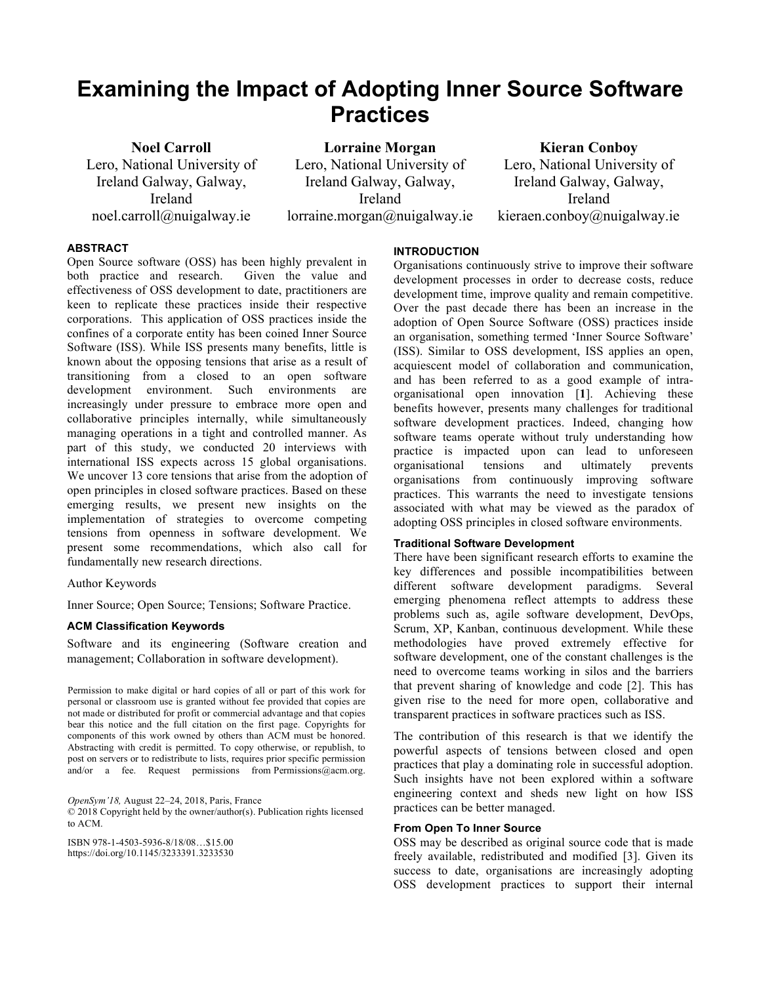# **Examining the Impact of Adopting Inner Source Software Practices**

**Noel Carroll**  Lero, National University of Ireland Galway, Galway, Ireland noel.carroll@nuigalway.ie

**Lorraine Morgan**

Lero, National University of Ireland Galway, Galway, Ireland lorraine.morgan@nuigalway.ie **Kieran Conboy**

Lero, National University of Ireland Galway, Galway, Ireland kieraen.conboy@nuigalway.ie

# **ABSTRACT**

Open Source software (OSS) has been highly prevalent in both practice and research. Given the value and effectiveness of OSS development to date, practitioners are keen to replicate these practices inside their respective corporations. This application of OSS practices inside the confines of a corporate entity has been coined Inner Source Software (ISS). While ISS presents many benefits, little is known about the opposing tensions that arise as a result of transitioning from a closed to an open software development environment. Such environments are increasingly under pressure to embrace more open and collaborative principles internally, while simultaneously managing operations in a tight and controlled manner. As part of this study, we conducted 20 interviews with international ISS expects across 15 global organisations. We uncover 13 core tensions that arise from the adoption of open principles in closed software practices. Based on these emerging results, we present new insights on the implementation of strategies to overcome competing tensions from openness in software development. We present some recommendations, which also call for fundamentally new research directions.

Author Keywords

Inner Source; Open Source; Tensions; Software Practice.

# **ACM Classification Keywords**

Software and its engineering (Software creation and management; Collaboration in software development).

Permission to make digital or hard copies of all or part of this work for personal or classroom use is granted without fee provided that copies are not made or distributed for profit or commercial advantage and that copies bear this notice and the full citation on the first page. Copyrights for components of this work owned by others than ACM must be honored. Abstracting with credit is permitted. To copy otherwise, or republish, to post on servers or to redistribute to lists, requires prior specific permission and/or a fee. Request permissions from Permissions@acm.org.

*OpenSym'18,* August 22–24, 2018, Paris, France © 2018 Copyright held by the owner/author(s). Publication rights licensed to ACM.

ISBN 978-1-4503-5936-8/18/08…\$15.00 https://doi.org/10.1145/3233391.3233530

# **INTRODUCTION**

Organisations continuously strive to improve their software development processes in order to decrease costs, reduce development time, improve quality and remain competitive. Over the past decade there has been an increase in the adoption of Open Source Software (OSS) practices inside an organisation, something termed 'Inner Source Software' (ISS). Similar to OSS development, ISS applies an open, acquiescent model of collaboration and communication, and has been referred to as a good example of intraorganisational open innovation [**1**]. Achieving these benefits however, presents many challenges for traditional software development practices. Indeed, changing how software teams operate without truly understanding how practice is impacted upon can lead to unforeseen organisational tensions and ultimately prevents organisations from continuously improving software practices. This warrants the need to investigate tensions associated with what may be viewed as the paradox of adopting OSS principles in closed software environments.

# **Traditional Software Development**

There have been significant research efforts to examine the key differences and possible incompatibilities between different software development paradigms. Several emerging phenomena reflect attempts to address these problems such as, agile software development, DevOps, Scrum, XP, Kanban, continuous development. While these methodologies have proved extremely effective for software development, one of the constant challenges is the need to overcome teams working in silos and the barriers that prevent sharing of knowledge and code [2]. This has given rise to the need for more open, collaborative and transparent practices in software practices such as ISS.

The contribution of this research is that we identify the powerful aspects of tensions between closed and open practices that play a dominating role in successful adoption. Such insights have not been explored within a software engineering context and sheds new light on how ISS practices can be better managed.

# **From Open To Inner Source**

OSS may be described as original source code that is made freely available, redistributed and modified [3]. Given its success to date, organisations are increasingly adopting OSS development practices to support their internal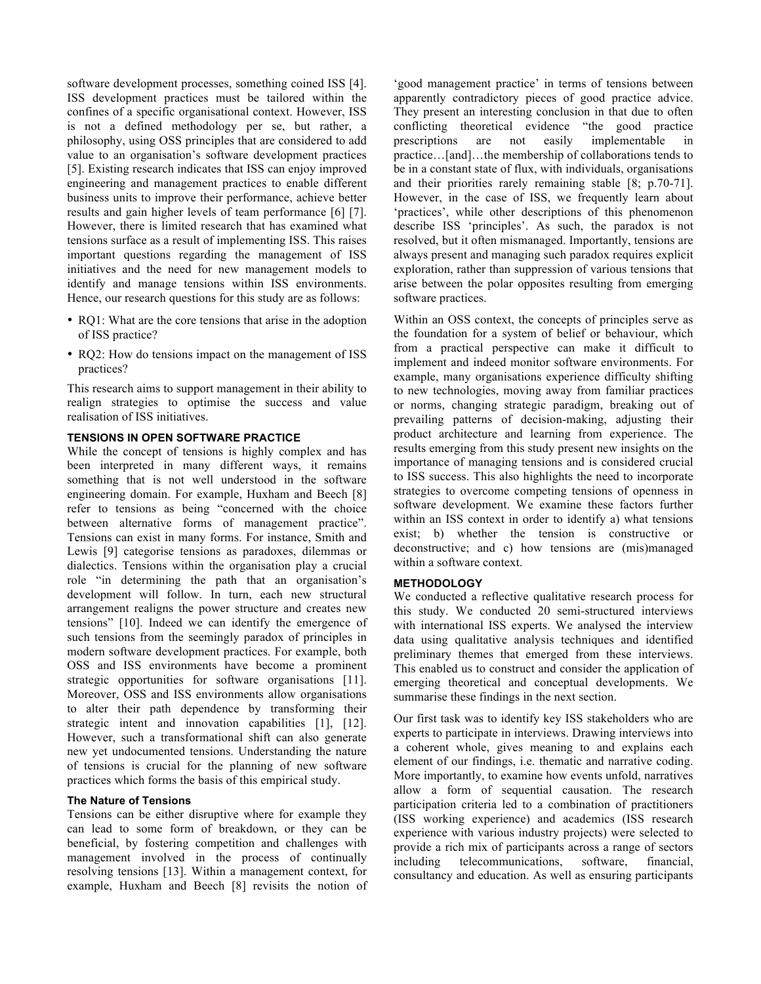software development processes, something coined ISS [4]. ISS development practices must be tailored within the confines of a specific organisational context. However, ISS is not a defined methodology per se, but rather, a philosophy, using OSS principles that are considered to add value to an organisation's software development practices [5]. Existing research indicates that ISS can enjoy improved engineering and management practices to enable different business units to improve their performance, achieve better results and gain higher levels of team performance [6] [7]. However, there is limited research that has examined what tensions surface as a result of implementing ISS. This raises important questions regarding the management of ISS initiatives and the need for new management models to identify and manage tensions within ISS environments. Hence, our research questions for this study are as follows:

- RQ1: What are the core tensions that arise in the adoption of ISS practice?
- RQ2: How do tensions impact on the management of ISS practices?

This research aims to support management in their ability to realign strategies to optimise the success and value realisation of ISS initiatives.

#### **TENSIONS IN OPEN SOFTWARE PRACTICE**

While the concept of tensions is highly complex and has been interpreted in many different ways, it remains something that is not well understood in the software engineering domain. For example, Huxham and Beech [8] refer to tensions as being "concerned with the choice between alternative forms of management practice". Tensions can exist in many forms. For instance, Smith and Lewis [9] categorise tensions as paradoxes, dilemmas or dialectics. Tensions within the organisation play a crucial role "in determining the path that an organisation's development will follow. In turn, each new structural arrangement realigns the power structure and creates new tensions" [10]. Indeed we can identify the emergence of such tensions from the seemingly paradox of principles in modern software development practices. For example, both OSS and ISS environments have become a prominent strategic opportunities for software organisations [11]. Moreover, OSS and ISS environments allow organisations to alter their path dependence by transforming their strategic intent and innovation capabilities [1], [12]. However, such a transformational shift can also generate new yet undocumented tensions. Understanding the nature of tensions is crucial for the planning of new software practices which forms the basis of this empirical study.

#### **The Nature of Tensions**

Tensions can be either disruptive where for example they can lead to some form of breakdown, or they can be beneficial, by fostering competition and challenges with management involved in the process of continually resolving tensions [13]. Within a management context, for example, Huxham and Beech [8] revisits the notion of

'good management practice' in terms of tensions between apparently contradictory pieces of good practice advice. They present an interesting conclusion in that due to often conflicting theoretical evidence "the good practice prescriptions are not easily implementable in practice…[and]…the membership of collaborations tends to be in a constant state of flux, with individuals, organisations and their priorities rarely remaining stable [8; p.70-71]. However, in the case of ISS, we frequently learn about 'practices', while other descriptions of this phenomenon describe ISS 'principles'. As such, the paradox is not resolved, but it often mismanaged. Importantly, tensions are always present and managing such paradox requires explicit exploration, rather than suppression of various tensions that arise between the polar opposites resulting from emerging software practices.

Within an OSS context, the concepts of principles serve as the foundation for a system of belief or behaviour, which from a practical perspective can make it difficult to implement and indeed monitor software environments. For example, many organisations experience difficulty shifting to new technologies, moving away from familiar practices or norms, changing strategic paradigm, breaking out of prevailing patterns of decision-making, adjusting their product architecture and learning from experience. The results emerging from this study present new insights on the importance of managing tensions and is considered crucial to ISS success. This also highlights the need to incorporate strategies to overcome competing tensions of openness in software development. We examine these factors further within an ISS context in order to identify a) what tensions exist; b) whether the tension is constructive or deconstructive; and c) how tensions are (mis)managed within a software context.

#### **METHODOLOGY**

We conducted a reflective qualitative research process for this study. We conducted 20 semi-structured interviews with international ISS experts. We analysed the interview data using qualitative analysis techniques and identified preliminary themes that emerged from these interviews. This enabled us to construct and consider the application of emerging theoretical and conceptual developments. We summarise these findings in the next section.

Our first task was to identify key ISS stakeholders who are experts to participate in interviews. Drawing interviews into a coherent whole, gives meaning to and explains each element of our findings, i.e. thematic and narrative coding. More importantly, to examine how events unfold, narratives allow a form of sequential causation. The research participation criteria led to a combination of practitioners (ISS working experience) and academics (ISS research experience with various industry projects) were selected to provide a rich mix of participants across a range of sectors including telecommunications, software, financial, consultancy and education. As well as ensuring participants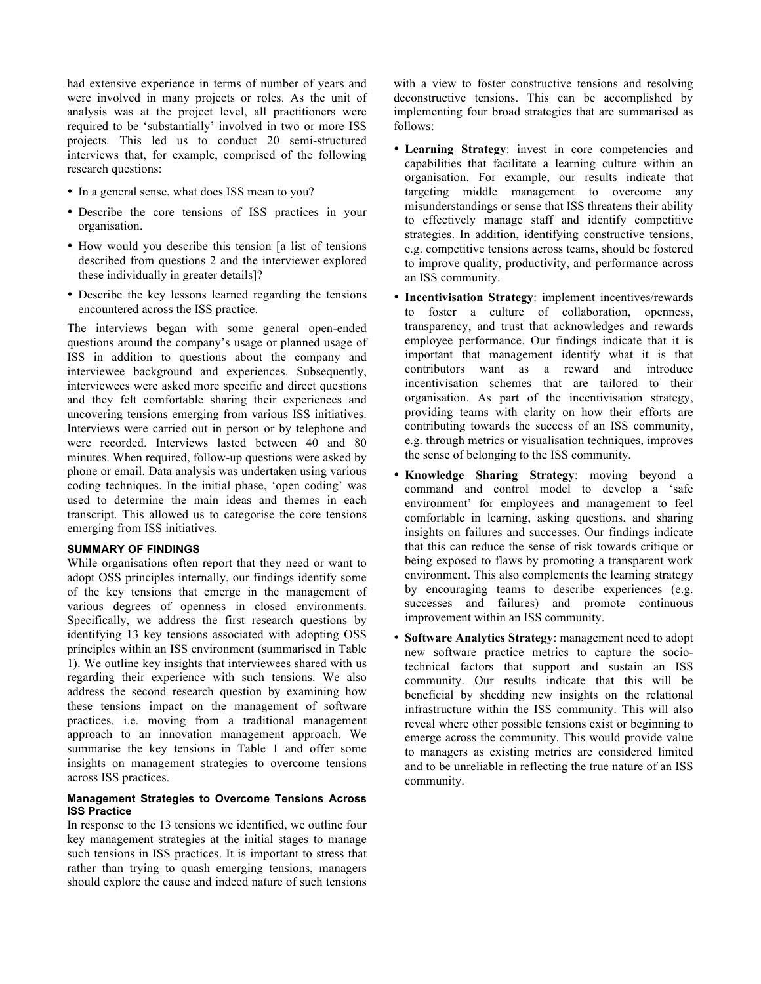had extensive experience in terms of number of years and were involved in many projects or roles. As the unit of analysis was at the project level, all practitioners were required to be 'substantially' involved in two or more ISS projects. This led us to conduct 20 semi-structured interviews that, for example, comprised of the following research questions:

- In a general sense, what does ISS mean to you?
- Describe the core tensions of ISS practices in your organisation.
- How would you describe this tension [a list of tensions described from questions 2 and the interviewer explored these individually in greater details]?
- Describe the key lessons learned regarding the tensions encountered across the ISS practice.

The interviews began with some general open-ended questions around the company's usage or planned usage of ISS in addition to questions about the company and interviewee background and experiences. Subsequently, interviewees were asked more specific and direct questions and they felt comfortable sharing their experiences and uncovering tensions emerging from various ISS initiatives. Interviews were carried out in person or by telephone and were recorded. Interviews lasted between 40 and 80 minutes. When required, follow-up questions were asked by phone or email. Data analysis was undertaken using various coding techniques. In the initial phase, 'open coding' was used to determine the main ideas and themes in each transcript. This allowed us to categorise the core tensions emerging from ISS initiatives.

#### **SUMMARY OF FINDINGS**

While organisations often report that they need or want to adopt OSS principles internally, our findings identify some of the key tensions that emerge in the management of various degrees of openness in closed environments. Specifically, we address the first research questions by identifying 13 key tensions associated with adopting OSS principles within an ISS environment (summarised in Table 1). We outline key insights that interviewees shared with us regarding their experience with such tensions. We also address the second research question by examining how these tensions impact on the management of software practices, i.e. moving from a traditional management approach to an innovation management approach. We summarise the key tensions in Table 1 and offer some insights on management strategies to overcome tensions across ISS practices.

# **Management Strategies to Overcome Tensions Across ISS Practice**

In response to the 13 tensions we identified, we outline four key management strategies at the initial stages to manage such tensions in ISS practices. It is important to stress that rather than trying to quash emerging tensions, managers should explore the cause and indeed nature of such tensions with a view to foster constructive tensions and resolving deconstructive tensions. This can be accomplished by implementing four broad strategies that are summarised as follows:

- **Learning Strategy**: invest in core competencies and capabilities that facilitate a learning culture within an organisation. For example, our results indicate that targeting middle management to overcome any misunderstandings or sense that ISS threatens their ability to effectively manage staff and identify competitive strategies. In addition, identifying constructive tensions, e.g. competitive tensions across teams, should be fostered to improve quality, productivity, and performance across an ISS community.
- **Incentivisation Strategy**: implement incentives/rewards to foster a culture of collaboration, openness, transparency, and trust that acknowledges and rewards employee performance. Our findings indicate that it is important that management identify what it is that contributors want as a reward and introduce incentivisation schemes that are tailored to their organisation. As part of the incentivisation strategy, providing teams with clarity on how their efforts are contributing towards the success of an ISS community, e.g. through metrics or visualisation techniques, improves the sense of belonging to the ISS community.
- **Knowledge Sharing Strategy**: moving beyond a command and control model to develop a 'safe environment' for employees and management to feel comfortable in learning, asking questions, and sharing insights on failures and successes. Our findings indicate that this can reduce the sense of risk towards critique or being exposed to flaws by promoting a transparent work environment. This also complements the learning strategy by encouraging teams to describe experiences (e.g. successes and failures) and promote continuous improvement within an ISS community.
- **Software Analytics Strategy**: management need to adopt new software practice metrics to capture the sociotechnical factors that support and sustain an ISS community. Our results indicate that this will be beneficial by shedding new insights on the relational infrastructure within the ISS community. This will also reveal where other possible tensions exist or beginning to emerge across the community. This would provide value to managers as existing metrics are considered limited and to be unreliable in reflecting the true nature of an ISS community.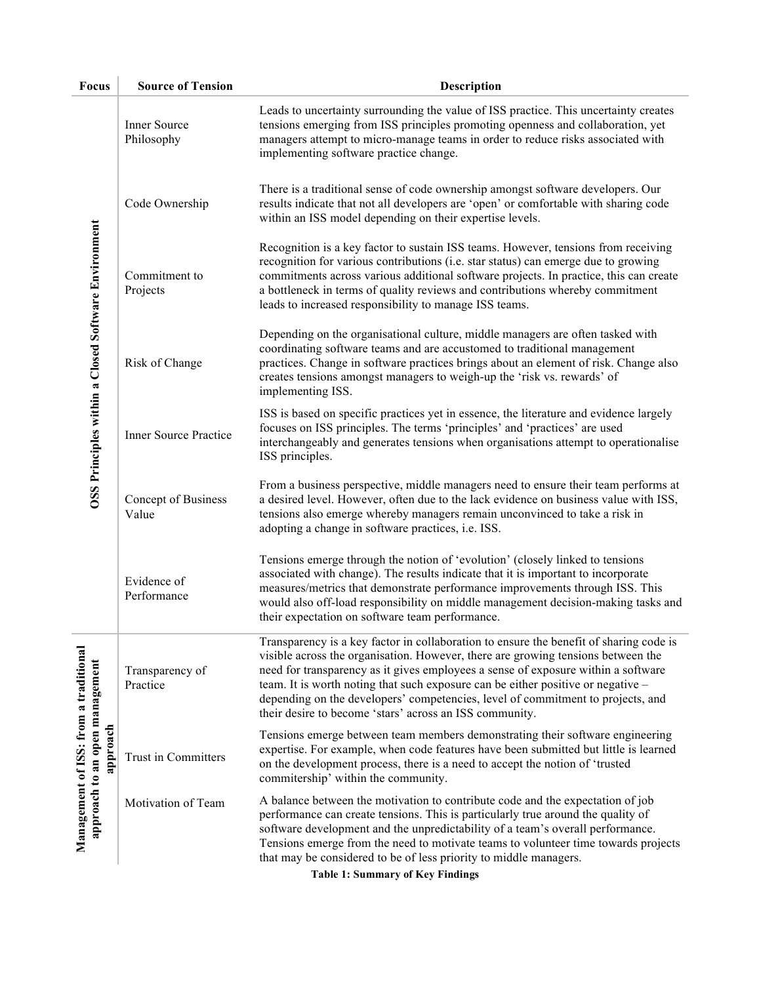| Focus                                                                               | <b>Source of Tension</b>          | <b>Description</b>                                                                                                                                                                                                                                                                                                                                                                                                                                                                                |  |
|-------------------------------------------------------------------------------------|-----------------------------------|---------------------------------------------------------------------------------------------------------------------------------------------------------------------------------------------------------------------------------------------------------------------------------------------------------------------------------------------------------------------------------------------------------------------------------------------------------------------------------------------------|--|
| OSS Principles within a Closed Software Environment                                 | <b>Inner Source</b><br>Philosophy | Leads to uncertainty surrounding the value of ISS practice. This uncertainty creates<br>tensions emerging from ISS principles promoting openness and collaboration, yet<br>managers attempt to micro-manage teams in order to reduce risks associated with<br>implementing software practice change.                                                                                                                                                                                              |  |
|                                                                                     | Code Ownership                    | There is a traditional sense of code ownership amongst software developers. Our<br>results indicate that not all developers are 'open' or comfortable with sharing code<br>within an ISS model depending on their expertise levels.                                                                                                                                                                                                                                                               |  |
|                                                                                     | Commitment to<br>Projects         | Recognition is a key factor to sustain ISS teams. However, tensions from receiving<br>recognition for various contributions (i.e. star status) can emerge due to growing<br>commitments across various additional software projects. In practice, this can create<br>a bottleneck in terms of quality reviews and contributions whereby commitment<br>leads to increased responsibility to manage ISS teams.                                                                                      |  |
|                                                                                     | Risk of Change                    | Depending on the organisational culture, middle managers are often tasked with<br>coordinating software teams and are accustomed to traditional management<br>practices. Change in software practices brings about an element of risk. Change also<br>creates tensions amongst managers to weigh-up the 'risk vs. rewards' of<br>implementing ISS.                                                                                                                                                |  |
|                                                                                     | <b>Inner Source Practice</b>      | ISS is based on specific practices yet in essence, the literature and evidence largely<br>focuses on ISS principles. The terms 'principles' and 'practices' are used<br>interchangeably and generates tensions when organisations attempt to operationalise<br>ISS principles.                                                                                                                                                                                                                    |  |
|                                                                                     | Concept of Business<br>Value      | From a business perspective, middle managers need to ensure their team performs at<br>a desired level. However, often due to the lack evidence on business value with ISS,<br>tensions also emerge whereby managers remain unconvinced to take a risk in<br>adopting a change in software practices, i.e. ISS.                                                                                                                                                                                    |  |
|                                                                                     | Evidence of<br>Performance        | Tensions emerge through the notion of 'evolution' (closely linked to tensions<br>associated with change). The results indicate that it is important to incorporate<br>measures/metrics that demonstrate performance improvements through ISS. This<br>would also off-load responsibility on middle management decision-making tasks and<br>their expectation on software team performance.                                                                                                        |  |
| Management of ISS: from a traditional<br>approach to an open management<br>approach | Transparency of<br>Practice       | Transparency is a key factor in collaboration to ensure the benefit of sharing code is<br>visible across the organisation. However, there are growing tensions between the<br>need for transparency as it gives employees a sense of exposure within a software<br>team. It is worth noting that such exposure can be either positive or negative -<br>depending on the developers' competencies, level of commitment to projects, and<br>their desire to become 'stars' across an ISS community. |  |
|                                                                                     | Trust in Committers               | Tensions emerge between team members demonstrating their software engineering<br>expertise. For example, when code features have been submitted but little is learned<br>on the development process, there is a need to accept the notion of 'trusted<br>commitership' within the community.                                                                                                                                                                                                      |  |
|                                                                                     | Motivation of Team                | A balance between the motivation to contribute code and the expectation of job<br>performance can create tensions. This is particularly true around the quality of<br>software development and the unpredictability of a team's overall performance.<br>Tensions emerge from the need to motivate teams to volunteer time towards projects<br>that may be considered to be of less priority to middle managers.                                                                                   |  |

**Table 1: Summary of Key Findings**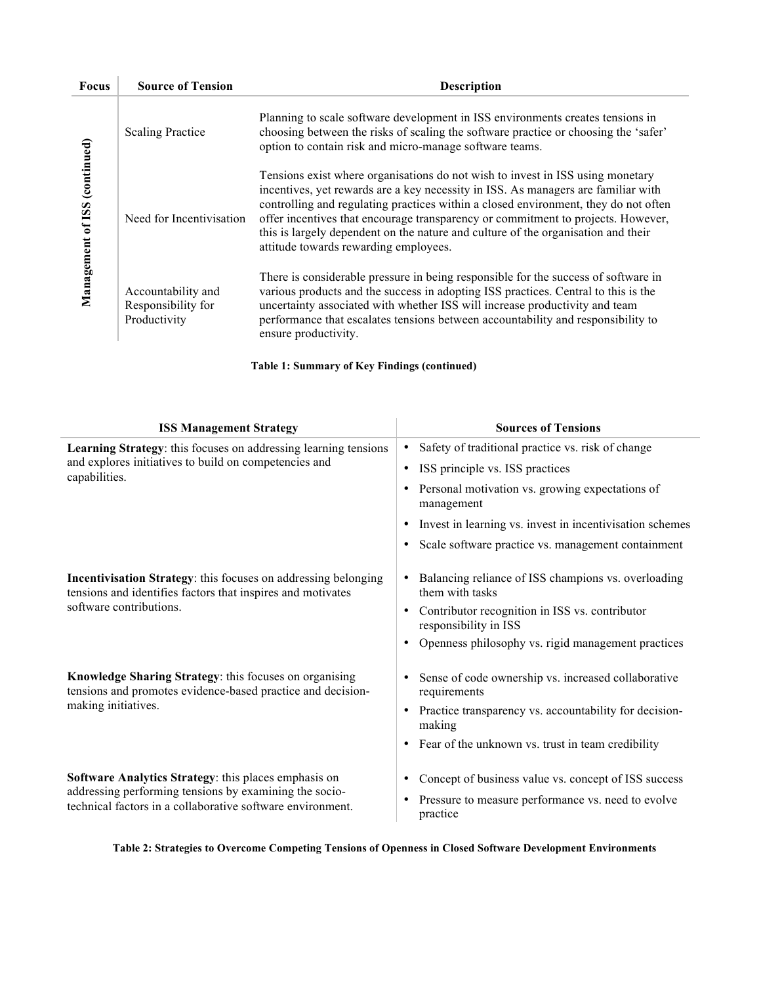| <b>Focus</b>                  | <b>Source of Tension</b>                                 | <b>Description</b>                                                                                                                                                                                                                                                                                                                                                                                                                                                           |
|-------------------------------|----------------------------------------------------------|------------------------------------------------------------------------------------------------------------------------------------------------------------------------------------------------------------------------------------------------------------------------------------------------------------------------------------------------------------------------------------------------------------------------------------------------------------------------------|
| Management of ISS (continued) | <b>Scaling Practice</b>                                  | Planning to scale software development in ISS environments creates tensions in<br>choosing between the risks of scaling the software practice or choosing the 'safer'<br>option to contain risk and micro-manage software teams.                                                                                                                                                                                                                                             |
|                               | Need for Incentivisation                                 | Tensions exist where organisations do not wish to invest in ISS using monetary<br>incentives, yet rewards are a key necessity in ISS. As managers are familiar with<br>controlling and regulating practices within a closed environment, they do not often<br>offer incentives that encourage transparency or commitment to projects. However,<br>this is largely dependent on the nature and culture of the organisation and their<br>attitude towards rewarding employees. |
|                               | Accountability and<br>Responsibility for<br>Productivity | There is considerable pressure in being responsible for the success of software in<br>various products and the success in adopting ISS practices. Central to this is the<br>uncertainty associated with whether ISS will increase productivity and team<br>performance that escalates tensions between accountability and responsibility to<br>ensure productivity.                                                                                                          |

**Table 1: Summary of Key Findings (continued)**

| <b>ISS Management Strategy</b>                                                                                                       | <b>Sources of Tensions</b>                                                           |
|--------------------------------------------------------------------------------------------------------------------------------------|--------------------------------------------------------------------------------------|
| Learning Strategy: this focuses on addressing learning tensions                                                                      | Safety of traditional practice vs. risk of change<br>$\bullet$                       |
| and explores initiatives to build on competencies and<br>capabilities.                                                               | ISS principle vs. ISS practices<br>$\bullet$                                         |
|                                                                                                                                      | Personal motivation vs. growing expectations of<br>٠<br>management                   |
|                                                                                                                                      | Invest in learning vs. invest in incentivisation schemes<br>$\bullet$                |
|                                                                                                                                      | Scale software practice vs. management containment<br>$\bullet$                      |
| <b>Incentivisation Strategy:</b> this focuses on addressing belonging<br>tensions and identifies factors that inspires and motivates | Balancing reliance of ISS champions vs. overloading<br>$\bullet$<br>them with tasks  |
| software contributions.                                                                                                              | Contributor recognition in ISS vs. contributor<br>$\bullet$<br>responsibility in ISS |
|                                                                                                                                      | Openness philosophy vs. rigid management practices<br>$\bullet$                      |
| Knowledge Sharing Strategy: this focuses on organising<br>tensions and promotes evidence-based practice and decision-                | Sense of code ownership vs. increased collaborative<br>٠<br>requirements             |
| making initiatives.                                                                                                                  | Practice transparency vs. accountability for decision-<br>$\bullet$<br>making        |
|                                                                                                                                      | Fear of the unknown vs. trust in team credibility<br>$\bullet$                       |
| Software Analytics Strategy: this places emphasis on                                                                                 | Concept of business value vs. concept of ISS success<br>$\bullet$                    |
| addressing performing tensions by examining the socio-<br>technical factors in a collaborative software environment.                 | Pressure to measure performance vs. need to evolve<br>٠<br>practice                  |
|                                                                                                                                      |                                                                                      |

**Table 2: Strategies to Overcome Competing Tensions of Openness in Closed Software Development Environments**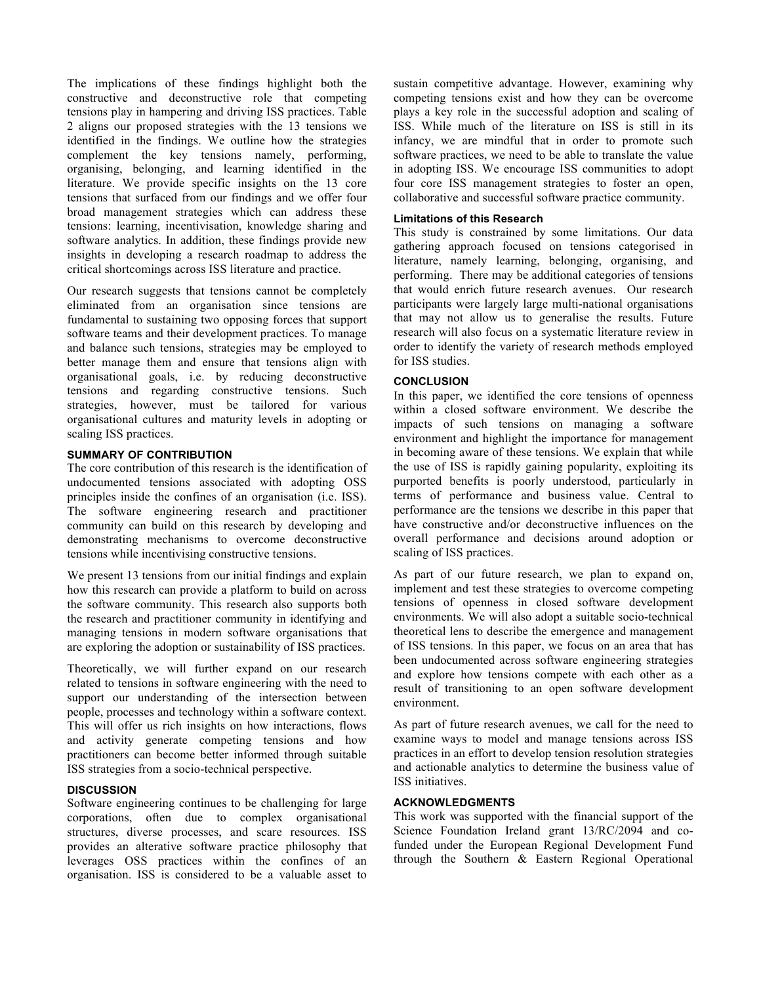The implications of these findings highlight both the constructive and deconstructive role that competing tensions play in hampering and driving ISS practices. Table 2 aligns our proposed strategies with the 13 tensions we identified in the findings. We outline how the strategies complement the key tensions namely, performing, organising, belonging, and learning identified in the literature. We provide specific insights on the 13 core tensions that surfaced from our findings and we offer four broad management strategies which can address these tensions: learning, incentivisation, knowledge sharing and software analytics. In addition, these findings provide new insights in developing a research roadmap to address the critical shortcomings across ISS literature and practice.

Our research suggests that tensions cannot be completely eliminated from an organisation since tensions are fundamental to sustaining two opposing forces that support software teams and their development practices. To manage and balance such tensions, strategies may be employed to better manage them and ensure that tensions align with organisational goals, i.e. by reducing deconstructive tensions and regarding constructive tensions. Such strategies, however, must be tailored for various organisational cultures and maturity levels in adopting or scaling ISS practices.

# **SUMMARY OF CONTRIBUTION**

The core contribution of this research is the identification of undocumented tensions associated with adopting OSS principles inside the confines of an organisation (i.e. ISS). The software engineering research and practitioner community can build on this research by developing and demonstrating mechanisms to overcome deconstructive tensions while incentivising constructive tensions.

We present 13 tensions from our initial findings and explain how this research can provide a platform to build on across the software community. This research also supports both the research and practitioner community in identifying and managing tensions in modern software organisations that are exploring the adoption or sustainability of ISS practices.

Theoretically, we will further expand on our research related to tensions in software engineering with the need to support our understanding of the intersection between people, processes and technology within a software context. This will offer us rich insights on how interactions, flows and activity generate competing tensions and how practitioners can become better informed through suitable ISS strategies from a socio-technical perspective.

# **DISCUSSION**

Software engineering continues to be challenging for large corporations, often due to complex organisational structures, diverse processes, and scare resources. ISS provides an alterative software practice philosophy that leverages OSS practices within the confines of an organisation. ISS is considered to be a valuable asset to sustain competitive advantage. However, examining why competing tensions exist and how they can be overcome plays a key role in the successful adoption and scaling of ISS. While much of the literature on ISS is still in its infancy, we are mindful that in order to promote such software practices, we need to be able to translate the value in adopting ISS. We encourage ISS communities to adopt four core ISS management strategies to foster an open, collaborative and successful software practice community.

# **Limitations of this Research**

This study is constrained by some limitations. Our data gathering approach focused on tensions categorised in literature, namely learning, belonging, organising, and performing. There may be additional categories of tensions that would enrich future research avenues. Our research participants were largely large multi-national organisations that may not allow us to generalise the results. Future research will also focus on a systematic literature review in order to identify the variety of research methods employed for ISS studies.

# **CONCLUSION**

In this paper, we identified the core tensions of openness within a closed software environment. We describe the impacts of such tensions on managing a software environment and highlight the importance for management in becoming aware of these tensions. We explain that while the use of ISS is rapidly gaining popularity, exploiting its purported benefits is poorly understood, particularly in terms of performance and business value. Central to performance are the tensions we describe in this paper that have constructive and/or deconstructive influences on the overall performance and decisions around adoption or scaling of ISS practices.

As part of our future research, we plan to expand on, implement and test these strategies to overcome competing tensions of openness in closed software development environments. We will also adopt a suitable socio-technical theoretical lens to describe the emergence and management of ISS tensions. In this paper, we focus on an area that has been undocumented across software engineering strategies and explore how tensions compete with each other as a result of transitioning to an open software development environment.

As part of future research avenues, we call for the need to examine ways to model and manage tensions across ISS practices in an effort to develop tension resolution strategies and actionable analytics to determine the business value of ISS initiatives.

# **ACKNOWLEDGMENTS**

This work was supported with the financial support of the Science Foundation Ireland grant 13/RC/2094 and cofunded under the European Regional Development Fund through the Southern & Eastern Regional Operational